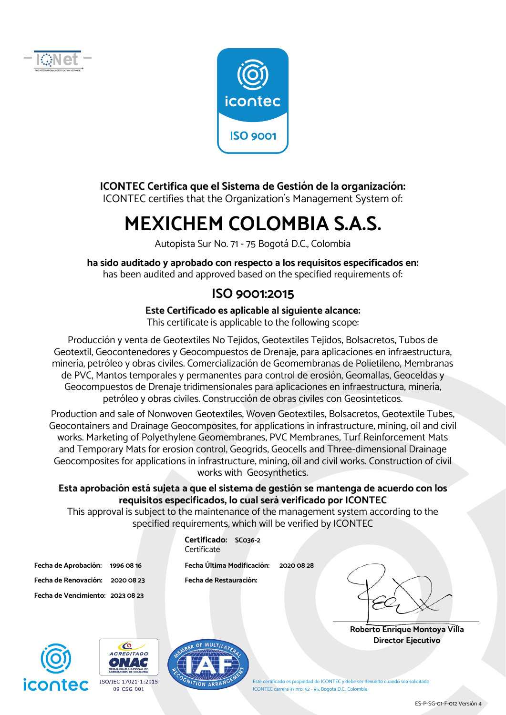



#### **ICONTEC Certifica que el Sistema de Gestión de la organización:**

ICONTEC certifies that the Organization´s Management System of:

# **MEXICHEM COLOMBIA S.A.S.**

Autopista Sur No. 71 - 75 Bogotá D.C., Colombia

**ha sido auditado y aprobado con respecto a los requisitos especificados en:**  has been audited and approved based on the specified requirements of:

### **ISO 9001:2015**

**Este Certificado es aplicable al siguiente alcance:** 

This certificate is applicable to the following scope:

Producción y venta de Geotextiles No Tejidos, Geotextiles Tejidos, Bolsacretos, Tubos de Geotextil, Geocontenedores y Geocompuestos de Drenaje, para aplicaciones en infraestructura, minería, petróleo y obras civiles. Comercialización de Geomembranas de Polietileno, Membranas de PVC, Mantos temporales y permanentes para control de erosión, Geomallas, Geoceldas y Geocompuestos de Drenaje tridimensionales para aplicaciones en infraestructura, minería, petróleo y obras civiles. Construcción de obras civiles con Geosinteticos.

Production and sale of Nonwoven Geotextiles, Woven Geotextiles, Bolsacretos, Geotextile Tubes, Geocontainers and Drainage Geocomposites, for applications in infrastructure, mining, oil and civil works. Marketing of Polyethylene Geomembranes, PVC Membranes, Turf Reinforcement Mats and Temporary Mats for erosion control, Geogrids, Geocells and Three-dimensional Drainage Geocomposites for applications in infrastructure, mining, oil and civil works. Construction of civil works with Geosynthetics.

#### **Esta aprobación está sujeta a que el sistema de gestión se mantenga de acuerdo con los requisitos especificados, lo cual será verificado por ICONTEC**

This approval is subject to the maintenance of the management system according to the specified requirements, which will be verified by ICONTEC

**Fecha de Renovación: 2020 08 23 Fecha de Restauración: Fecha de Vencimiento: 2023 08 23** 

**Certificado: SC036-2** Certificate

**Fecha de Aprobación: 1996 08 16 Fecha Última Modificación: 2020 08 28** 

**Roberto Enrique Montoya Villa Director Ejecutivo** 







Este certificado es propiedad de ICONTEC y debe ser devuelto cuando sea solicitado ICONTEC carrera 37 nro. 52 - 95, Bogotá D.C., Colombia